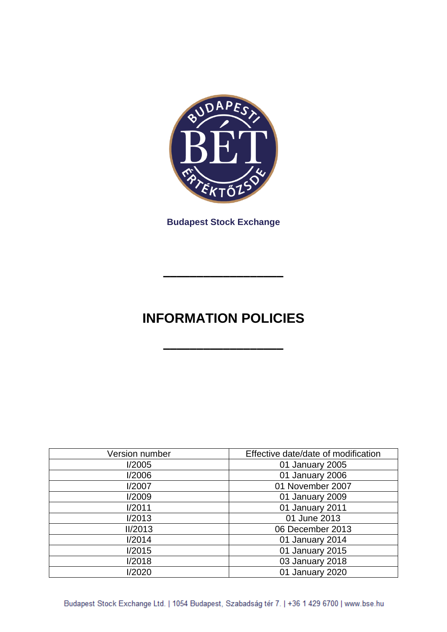

**Budapest Stock Exchange**

# **INFORMATION POLICIES**

**––––––––––––––––––**

**––––––––––––––––––**

| Version number | Effective date/date of modification |
|----------------|-------------------------------------|
| I/2005         | 01 January 2005                     |
| I/2006         | 01 January 2006                     |
| I/2007         | 01 November 2007                    |
| I/2009         | 01 January 2009                     |
| I/2011         | 01 January 2011                     |
| 1/2013         | 01 June 2013                        |
| II/2013        | 06 December 2013                    |
| 1/2014         | 01 January 2014                     |
| I/2015         | 01 January 2015                     |
| I/2018         | 03 January 2018                     |
| 1/2020         | 01 January 2020                     |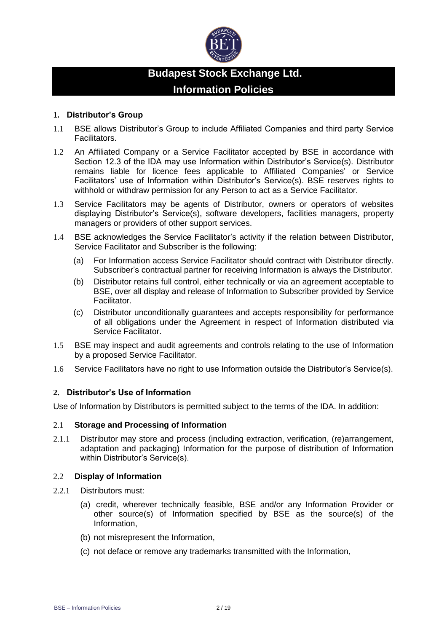

# **Budapest Stock Exchange Ltd. Information Policies**

# **1. Distributor's Group**

- 1.1 BSE allows Distributor's Group to include Affiliated Companies and third party Service Facilitators.
- 1.2 An Affiliated Company or a Service Facilitator accepted by BSE in accordance with Section 12.3 of the IDA may use Information within Distributor's Service(s). Distributor remains liable for licence fees applicable to Affiliated Companies' or Service Facilitators' use of Information within Distributor's Service(s). BSE reserves rights to withhold or withdraw permission for any Person to act as a Service Facilitator.
- 1.3 Service Facilitators may be agents of Distributor, owners or operators of websites displaying Distributor's Service(s), software developers, facilities managers, property managers or providers of other support services.
- 1.4 BSE acknowledges the Service Facilitator's activity if the relation between Distributor, Service Facilitator and Subscriber is the following:
	- (a) For Information access Service Facilitator should contract with Distributor directly. Subscriber's contractual partner for receiving Information is always the Distributor.
	- (b) Distributor retains full control, either technically or via an agreement acceptable to BSE, over all display and release of Information to Subscriber provided by Service Facilitator.
	- (c) Distributor unconditionally guarantees and accepts responsibility for performance of all obligations under the Agreement in respect of Information distributed via Service Facilitator.
- 1.5 BSE may inspect and audit agreements and controls relating to the use of Information by a proposed Service Facilitator.
- 1.6 Service Facilitators have no right to use Information outside the Distributor's Service(s).

# **2. Distributor's Use of Information**

Use of Information by Distributors is permitted subject to the terms of the IDA. In addition:

# 2.1 **Storage and Processing of Information**

2.1.1 Distributor may store and process (including extraction, verification, (re)arrangement, adaptation and packaging) Information for the purpose of distribution of Information within Distributor's Service(s).

# 2.2 **Display of Information**

- 2.2.1 Distributors must:
	- (a) credit, wherever technically feasible, BSE and/or any Information Provider or other source(s) of Information specified by BSE as the source(s) of the Information,
	- (b) not misrepresent the Information,
	- (c) not deface or remove any trademarks transmitted with the Information,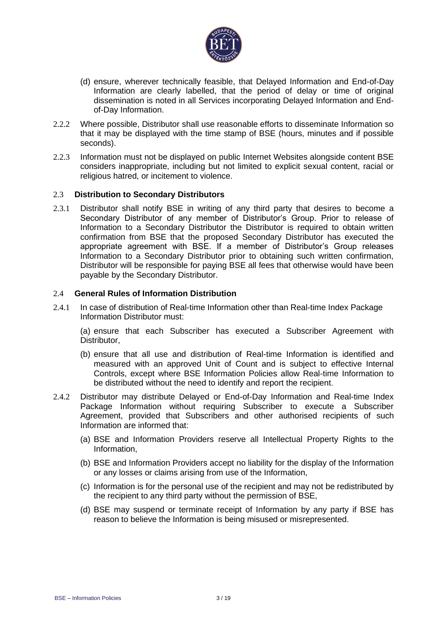

- (d) ensure, wherever technically feasible, that Delayed Information and End-of-Day Information are clearly labelled, that the period of delay or time of original dissemination is noted in all Services incorporating Delayed Information and Endof-Day Information.
- 2.2.2 Where possible, Distributor shall use reasonable efforts to disseminate Information so that it may be displayed with the time stamp of BSE (hours, minutes and if possible seconds).
- 2.2.3 Information must not be displayed on public Internet Websites alongside content BSE considers inappropriate, including but not limited to explicit sexual content, racial or religious hatred, or incitement to violence.

# 2.3 **Distribution to Secondary Distributors**

2.3.1 Distributor shall notify BSE in writing of any third party that desires to become a Secondary Distributor of any member of Distributor's Group. Prior to release of Information to a Secondary Distributor the Distributor is required to obtain written confirmation from BSE that the proposed Secondary Distributor has executed the appropriate agreement with BSE. If a member of Distributor's Group releases Information to a Secondary Distributor prior to obtaining such written confirmation, Distributor will be responsible for paying BSE all fees that otherwise would have been payable by the Secondary Distributor.

# 2.4 **General Rules of Information Distribution**

2.4.1 In case of distribution of Real-time Information other than Real-time Index Package Information Distributor must:

(a) ensure that each Subscriber has executed a Subscriber Agreement with Distributor,

- (b) ensure that all use and distribution of Real-time Information is identified and measured with an approved Unit of Count and is subject to effective Internal Controls, except where BSE Information Policies allow Real-time Information to be distributed without the need to identify and report the recipient.
- 2.4.2 Distributor may distribute Delayed or End-of-Day Information and Real-time Index Package Information without requiring Subscriber to execute a Subscriber Agreement, provided that Subscribers and other authorised recipients of such Information are informed that:
	- (a) BSE and Information Providers reserve all Intellectual Property Rights to the Information,
	- (b) BSE and Information Providers accept no liability for the display of the Information or any losses or claims arising from use of the Information,
	- (c) Information is for the personal use of the recipient and may not be redistributed by the recipient to any third party without the permission of BSE,
	- (d) BSE may suspend or terminate receipt of Information by any party if BSE has reason to believe the Information is being misused or misrepresented.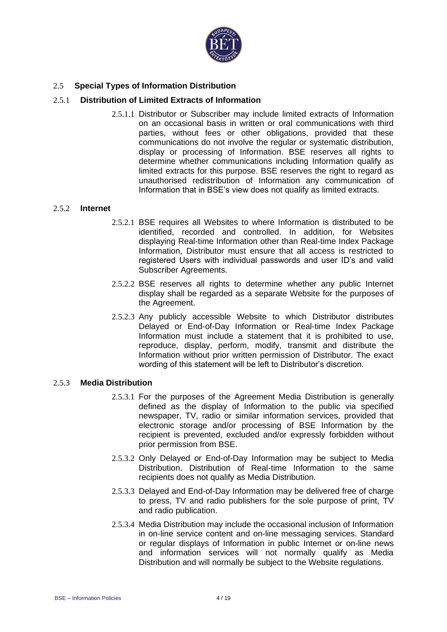

# 2.5 **Special Types of Information Distribution**

# 2.5.1 **Distribution of Limited Extracts of Information**

2.5.1.1 Distributor or Subscriber may include limited extracts of Information on an occasional basis in written or oral communications with third parties, without fees or other obligations, provided that these communications do not involve the regular or systematic distribution, display or processing of Information. BSE reserves all rights to determine whether communications including Information qualify as limited extracts for this purpose. BSE reserves the right to regard as unauthorised redistribution of Information any communication of Information that in BSE's view does not qualify as limited extracts.

#### 2.5.2 **Internet**

- 2.5.2.1 BSE requires all Websites to where Information is distributed to be identified, recorded and controlled. In addition, for Websites displaying Real-time Information other than Real-time Index Package Information, Distributor must ensure that all access is restricted to registered Users with individual passwords and user ID's and valid Subscriber Agreements.
- 2.5.2.2 BSE reserves all rights to determine whether any public Internet display shall be regarded as a separate Website for the purposes of the Agreement.
- 2.5.2.3 Any publicly accessible Website to which Distributor distributes Delayed or End-of-Day Information or Real-time Index Package Information must include a statement that it is prohibited to use, reproduce, display, perform, modify, transmit and distribute the Information without prior written permission of Distributor. The exact wording of this statement will be left to Distributor's discretion.

# 2.5.3 **Media Distribution**

- 2.5.3.1 For the purposes of the Agreement Media Distribution is generally defined as the display of Information to the public via specified newspaper, TV, radio or similar information services, provided that electronic storage and/or processing of BSE Information by the recipient is prevented, excluded and/or expressly forbidden without prior permission from BSE.
- 2.5.3.2 Only Delayed or End-of-Day Information may be subject to Media Distribution. Distribution of Real-time Information to the same recipients does not qualify as Media Distribution.
- 2.5.3.3 Delayed and End-of-Day Information may be delivered free of charge to press, TV and radio publishers for the sole purpose of print, TV and radio publication.
- 2.5.3.4 Media Distribution may include the occasional inclusion of Information in on-line service content and on-line messaging services. Standard or regular displays of Information in public Internet or on-line news and information services will not normally qualify as Media Distribution and will normally be subject to the Website regulations.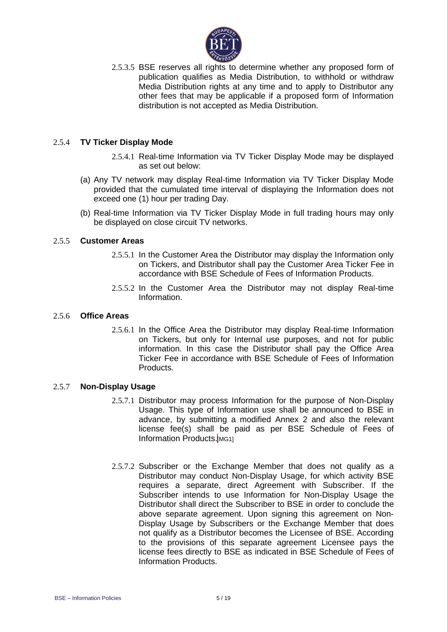

2.5.3.5 BSE reserves all rights to determine whether any proposed form of publication qualifies as Media Distribution, to withhold or withdraw Media Distribution rights at any time and to apply to Distributor any other fees that may be applicable if a proposed form of Information distribution is not accepted as Media Distribution.

# 2.5.4 **TV Ticker Display Mode**

- 2.5.4.1 Real-time Information via TV Ticker Display Mode may be displayed as set out below:
- (a) Any TV network may display Real-time Information via TV Ticker Display Mode provided that the cumulated time interval of displaying the Information does not exceed one (1) hour per trading Day.
- (b) Real-time Information via TV Ticker Display Mode in full trading hours may only be displayed on close circuit TV networks.

# 2.5.5 **Customer Areas**

- 2.5.5.1 In the Customer Area the Distributor may display the Information only on Tickers, and Distributor shall pay the Customer Area Ticker Fee in accordance with BSE Schedule of Fees of Information Products.
- 2.5.5.2 In the Customer Area the Distributor may not display Real-time Information.

#### 2.5.6 **Office Areas**

2.5.6.1 In the Office Area the Distributor may display Real-time Information on Tickers, but only for Internal use purposes, and not for public information. In this case the Distributor shall pay the Office Area Ticker Fee in accordance with BSE Schedule of Fees of Information Products.

#### 2.5.7 **Non-Display Usage**

- 2.5.7.1 Distributor may process Information for the purpose of Non-Display Usage. This type of Information use shall be announced to BSE in advance, by submitting a modified Annex 2 and also the relevant license fee(s) shall be paid as per BSE Schedule of Fees of Information Products.[MG1]
- 2.5.7.2 Subscriber or the Exchange Member that does not qualify as a Distributor may conduct Non-Display Usage, for which activity BSE requires a separate, direct Agreement with Subscriber. If the Subscriber intends to use Information for Non-Display Usage the Distributor shall direct the Subscriber to BSE in order to conclude the above separate agreement. Upon signing this agreement on Non-Display Usage by Subscribers or the Exchange Member that does not qualify as a Distributor becomes the Licensee of BSE. According to the provisions of this separate agreement Licensee pays the license fees directly to BSE as indicated in BSE Schedule of Fees of Information Products.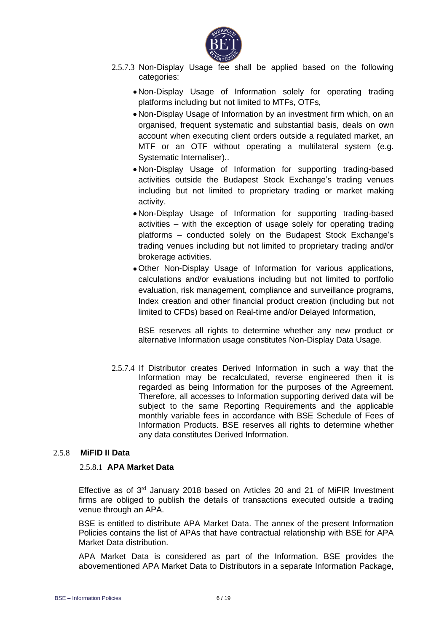

- 2.5.7.3 Non-Display Usage fee shall be applied based on the following categories:
	- Non-Display Usage of Information solely for operating trading platforms including but not limited to MTFs, OTFs,
	- Non-Display Usage of Information by an investment firm which, on an organised, frequent systematic and substantial basis, deals on own account when executing client orders outside a regulated market, an MTF or an OTF without operating a multilateral system (e.g. Systematic Internaliser)..
	- Non-Display Usage of Information for supporting trading-based activities outside the Budapest Stock Exchange's trading venues including but not limited to proprietary trading or market making activity.
	- Non-Display Usage of Information for supporting trading-based activities – with the exception of usage solely for operating trading platforms – conducted solely on the Budapest Stock Exchange's trading venues including but not limited to proprietary trading and/or brokerage activities.
	- Other Non-Display Usage of Information for various applications, calculations and/or evaluations including but not limited to portfolio evaluation, risk management, compliance and surveillance programs, Index creation and other financial product creation (including but not limited to CFDs) based on Real-time and/or Delayed Information,

BSE reserves all rights to determine whether any new product or alternative Information usage constitutes Non-Display Data Usage.

2.5.7.4 If Distributor creates Derived Information in such a way that the Information may be recalculated, reverse engineered then it is regarded as being Information for the purposes of the Agreement. Therefore, all accesses to Information supporting derived data will be subject to the same Reporting Requirements and the applicable monthly variable fees in accordance with BSE Schedule of Fees of Information Products. BSE reserves all rights to determine whether any data constitutes Derived Information.

# 2.5.8 **MiFID II Data**

#### 2.5.8.1 **APA Market Data**

Effective as of 3<sup>rd</sup> January 2018 based on Articles 20 and 21 of MiFIR Investment firms are obliged to publish the details of transactions executed outside a trading venue through an APA.

BSE is entitled to distribute APA Market Data. The annex of the present Information Policies contains the list of APAs that have contractual relationship with BSE for APA Market Data distribution.

APA Market Data is considered as part of the Information. BSE provides the abovementioned APA Market Data to Distributors in a separate Information Package,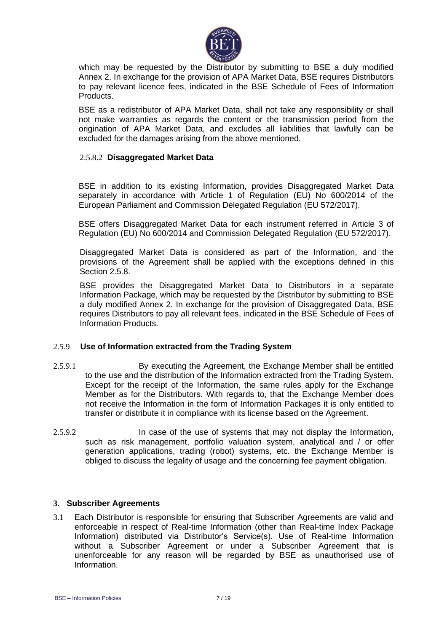

which may be requested by the Distributor by submitting to BSE a duly modified Annex 2. In exchange for the provision of APA Market Data, BSE requires Distributors to pay relevant licence fees, indicated in the BSE Schedule of Fees of Information Products.

BSE as a redistributor of APA Market Data, shall not take any responsibility or shall not make warranties as regards the content or the transmission period from the origination of APA Market Data, and excludes all liabilities that lawfully can be excluded for the damages arising from the above mentioned.

# 2.5.8.2 **Disaggregated Market Data**

BSE in addition to its existing Information, provides Disaggregated Market Data separately in accordance with Article 1 of Regulation (EU) No 600/2014 of the European Parliament and Commission Delegated Regulation (EU 572/2017).

BSE offers Disaggregated Market Data for each instrument referred in Article 3 of Regulation (EU) No 600/2014 and Commission Delegated Regulation (EU 572/2017).

Disaggregated Market Data is considered as part of the Information, and the provisions of the Agreement shall be applied with the exceptions defined in this Section 2.5.8.

BSE provides the Disaggregated Market Data to Distributors in a separate Information Package, which may be requested by the Distributor by submitting to BSE a duly modified Annex 2. In exchange for the provision of Disaggregated Data, BSE requires Distributors to pay all relevant fees, indicated in the BSE Schedule of Fees of Information Products.

#### 2.5.9 **Use of Information extracted from the Trading System**

- 2.5.9.1 By executing the Agreement, the Exchange Member shall be entitled to the use and the distribution of the Information extracted from the Trading System. Except for the receipt of the Information, the same rules apply for the Exchange Member as for the Distributors. With regards to, that the Exchange Member does not receive the Information in the form of Information Packages it is only entitled to transfer or distribute it in compliance with its license based on the Agreement.
- 2.5.9.2 In case of the use of systems that may not display the Information, such as risk management, portfolio valuation system, analytical and / or offer generation applications, trading (robot) systems, etc. the Exchange Member is obliged to discuss the legality of usage and the concerning fee payment obligation.

# **3. Subscriber Agreements**

3.1 Each Distributor is responsible for ensuring that Subscriber Agreements are valid and enforceable in respect of Real-time Information (other than Real-time Index Package Information) distributed via Distributor's Service(s). Use of Real-time Information without a Subscriber Agreement or under a Subscriber Agreement that is unenforceable for any reason will be regarded by BSE as unauthorised use of Information.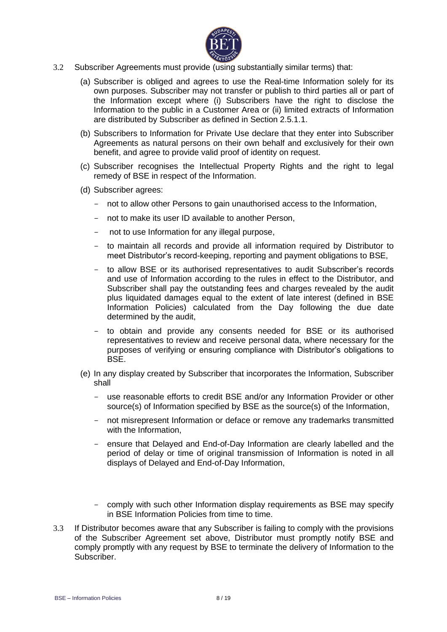

- 3.2 Subscriber Agreements must provide (using substantially similar terms) that:
	- (a) Subscriber is obliged and agrees to use the Real-time Information solely for its own purposes. Subscriber may not transfer or publish to third parties all or part of the Information except where (i) Subscribers have the right to disclose the Information to the public in a Customer Area or (ii) limited extracts of Information are distributed by Subscriber as defined in Section 2.5.1.1.
	- (b) Subscribers to Information for Private Use declare that they enter into Subscriber Agreements as natural persons on their own behalf and exclusively for their own benefit, and agree to provide valid proof of identity on request.
	- (c) Subscriber recognises the Intellectual Property Rights and the right to legal remedy of BSE in respect of the Information.
	- (d) Subscriber agrees:
		- not to allow other Persons to gain unauthorised access to the Information,
		- not to make its user ID available to another Person,
		- not to use Information for any illegal purpose,
		- to maintain all records and provide all information required by Distributor to meet Distributor's record-keeping, reporting and payment obligations to BSE,
		- to allow BSE or its authorised representatives to audit Subscriber's records and use of Information according to the rules in effect to the Distributor, and Subscriber shall pay the outstanding fees and charges revealed by the audit plus liquidated damages equal to the extent of late interest (defined in BSE Information Policies) calculated from the Day following the due date determined by the audit,
		- to obtain and provide any consents needed for BSE or its authorised representatives to review and receive personal data, where necessary for the purposes of verifying or ensuring compliance with Distributor's obligations to BSE.
	- (e) In any display created by Subscriber that incorporates the Information, Subscriber shall
		- use reasonable efforts to credit BSE and/or any Information Provider or other source(s) of Information specified by BSE as the source(s) of the Information,
		- not misrepresent Information or deface or remove any trademarks transmitted with the Information,
		- ensure that Delayed and End-of-Day Information are clearly labelled and the period of delay or time of original transmission of Information is noted in all displays of Delayed and End-of-Day Information,
		- comply with such other Information display requirements as BSE may specify in BSE Information Policies from time to time.
- 3.3 If Distributor becomes aware that any Subscriber is failing to comply with the provisions of the Subscriber Agreement set above, Distributor must promptly notify BSE and comply promptly with any request by BSE to terminate the delivery of Information to the Subscriber.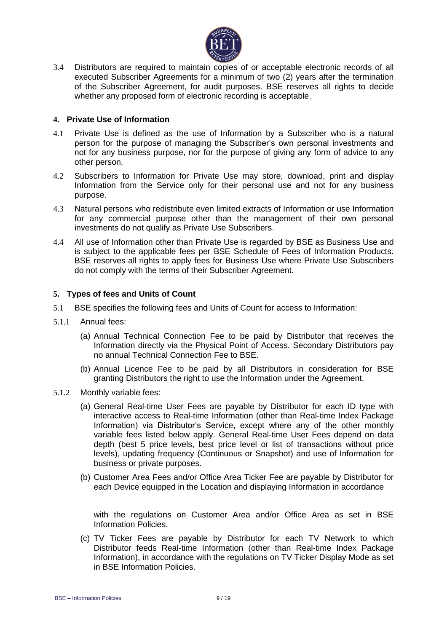

3.4 Distributors are required to maintain copies of or acceptable electronic records of all executed Subscriber Agreements for a minimum of two (2) years after the termination of the Subscriber Agreement, for audit purposes. BSE reserves all rights to decide whether any proposed form of electronic recording is acceptable.

# **4. Private Use of Information**

- 4.1 Private Use is defined as the use of Information by a Subscriber who is a natural person for the purpose of managing the Subscriber's own personal investments and not for any business purpose, nor for the purpose of giving any form of advice to any other person.
- 4.2 Subscribers to Information for Private Use may store, download, print and display Information from the Service only for their personal use and not for any business purpose.
- 4.3 Natural persons who redistribute even limited extracts of Information or use Information for any commercial purpose other than the management of their own personal investments do not qualify as Private Use Subscribers.
- 4.4 All use of Information other than Private Use is regarded by BSE as Business Use and is subject to the applicable fees per BSE Schedule of Fees of Information Products. BSE reserves all rights to apply fees for Business Use where Private Use Subscribers do not comply with the terms of their Subscriber Agreement.

# **5. Types of fees and Units of Count**

- 5.1 BSE specifies the following fees and Units of Count for access to Information:
- 5.1.1 Annual fees:
	- (a) Annual Technical Connection Fee to be paid by Distributor that receives the Information directly via the Physical Point of Access. Secondary Distributors pay no annual Technical Connection Fee to BSE.
	- (b) Annual Licence Fee to be paid by all Distributors in consideration for BSE granting Distributors the right to use the Information under the Agreement.
- 5.1.2 Monthly variable fees:
	- (a) General Real-time User Fees are payable by Distributor for each ID type with interactive access to Real-time Information (other than Real-time Index Package Information) via Distributor's Service, except where any of the other monthly variable fees listed below apply. General Real-time User Fees depend on data depth (best 5 price levels, best price level or list of transactions without price levels), updating frequency (Continuous or Snapshot) and use of Information for business or private purposes.
	- (b) Customer Area Fees and/or Office Area Ticker Fee are payable by Distributor for each Device equipped in the Location and displaying Information in accordance

with the regulations on Customer Area and/or Office Area as set in BSE Information Policies.

(c) TV Ticker Fees are payable by Distributor for each TV Network to which Distributor feeds Real-time Information (other than Real-time Index Package Information), in accordance with the regulations on TV Ticker Display Mode as set in BSE Information Policies.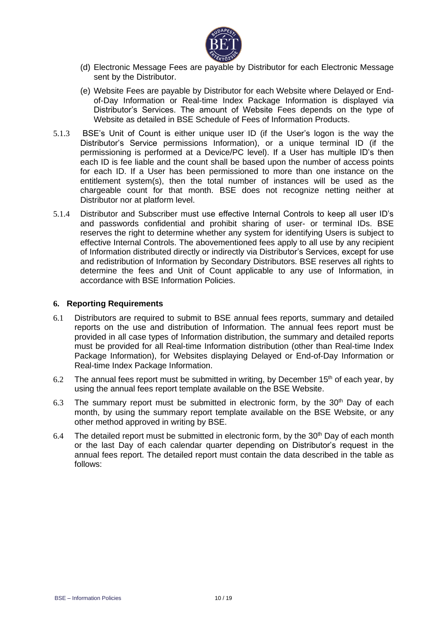

- (d) Electronic Message Fees are payable by Distributor for each Electronic Message sent by the Distributor.
- (e) Website Fees are payable by Distributor for each Website where Delayed or Endof-Day Information or Real-time Index Package Information is displayed via Distributor's Services. The amount of Website Fees depends on the type of Website as detailed in BSE Schedule of Fees of Information Products.
- 5.1.3 BSE's Unit of Count is either unique user ID (if the User's logon is the way the Distributor's Service permissions Information), or a unique terminal ID (if the permissioning is performed at a Device/PC level). If a User has multiple ID's then each ID is fee liable and the count shall be based upon the number of access points for each ID. If a User has been permissioned to more than one instance on the entitlement system(s), then the total number of instances will be used as the chargeable count for that month. BSE does not recognize netting neither at Distributor nor at platform level.
- 5.1.4 Distributor and Subscriber must use effective Internal Controls to keep all user ID's and passwords confidential and prohibit sharing of user- or terminal IDs. BSE reserves the right to determine whether any system for identifying Users is subject to effective Internal Controls. The abovementioned fees apply to all use by any recipient of Information distributed directly or indirectly via Distributor's Services, except for use and redistribution of Information by Secondary Distributors. BSE reserves all rights to determine the fees and Unit of Count applicable to any use of Information, in accordance with BSE Information Policies.

#### **6. Reporting Requirements**

- 6.1 Distributors are required to submit to BSE annual fees reports, summary and detailed reports on the use and distribution of Information. The annual fees report must be provided in all case types of Information distribution, the summary and detailed reports must be provided for all Real-time Information distribution (other than Real-time Index Package Information), for Websites displaying Delayed or End-of-Day Information or Real-time Index Package Information.
- 6.2 The annual fees report must be submitted in writing, by December 15<sup>th</sup> of each year, by using the annual fees report template available on the BSE Website.
- 6.3 The summary report must be submitted in electronic form, by the  $30<sup>th</sup>$  Day of each month, by using the summary report template available on the BSE Website, or any other method approved in writing by BSE.
- 6.4 The detailed report must be submitted in electronic form, by the  $30<sup>th</sup>$  Day of each month or the last Day of each calendar quarter depending on Distributor's request in the annual fees report. The detailed report must contain the data described in the table as follows: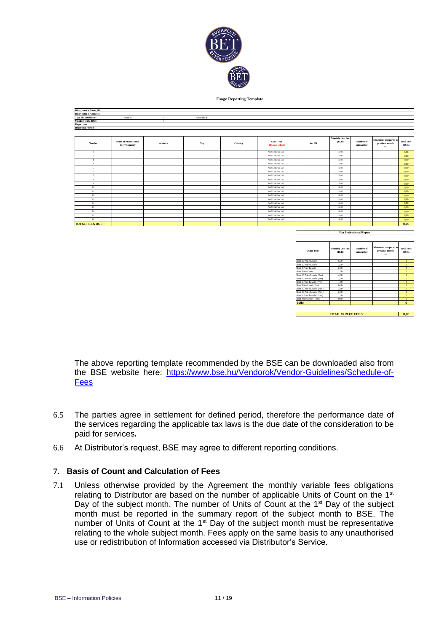

**Usage Reporting Template**

| Distributor's Name, ID:<br><b>Distributor's Address:</b> |                                             |                |           |         |                                     |         |                                  |                                |                                                 |                           |
|----------------------------------------------------------|---------------------------------------------|----------------|-----------|---------|-------------------------------------|---------|----------------------------------|--------------------------------|-------------------------------------------------|---------------------------|
|                                                          |                                             |                |           |         |                                     |         |                                  |                                |                                                 |                           |
| <b>Type of Distributor:</b><br>Member of the BSE:        | Primary                                     |                | Secondary |         |                                     |         |                                  |                                |                                                 |                           |
| Report date:                                             |                                             |                |           |         |                                     |         |                                  |                                |                                                 |                           |
| <b>Reporting Period:</b>                                 |                                             |                |           |         |                                     |         |                                  |                                |                                                 |                           |
|                                                          |                                             |                |           |         |                                     |         |                                  |                                |                                                 |                           |
|                                                          |                                             |                |           |         |                                     |         |                                  |                                |                                                 |                           |
| Number                                                   | <b>Name of Professional</b><br>User/Company | <b>Address</b> | City      | Country | <b>User Type</b><br>(Please select) | User ID | <b>Monthly Unit Fee</b><br>(ELR) | Number of<br>subscriber        | Movement compared to<br>previous month<br>$+/-$ | <b>Total Fees</b><br>( R) |
| $\mathbf{1}$                                             |                                             |                |           |         | Prof.EndUser LvI 1                  |         | 12,00                            |                                |                                                 | 0.00                      |
| $\overline{2}$                                           |                                             |                |           |         | Prof.EndUser Lv1 1                  |         | 12,00                            |                                |                                                 | 0.00                      |
| $\overline{\mathbf{3}}$                                  |                                             |                |           |         | Prof.EndUser LvI 1                  |         | 12.00                            |                                |                                                 | 0,00                      |
| $\mathbf{A}$                                             |                                             |                |           |         | Prof.EndUser LvI 1                  |         | 12.00                            |                                |                                                 | 0,00                      |
| $\sim$                                                   |                                             |                |           |         | Prof.EndUser LvI 1                  |         | 12,00                            |                                |                                                 | 0.00                      |
| 6                                                        |                                             |                |           |         | Prof.EndUser Lv1 1                  |         | 12,00                            |                                |                                                 | 0.00                      |
| $\overline{7}$                                           |                                             |                |           |         | Prof.EndUser Lv1 1                  |         | 12.00                            |                                |                                                 | 0.00                      |
| 8                                                        |                                             |                |           |         | Prof.EndUser Lv1 1                  |         | 12.00                            |                                |                                                 | 0.00                      |
| Q                                                        |                                             |                |           |         | Prof.EndUser LvI 1                  |         | 12,00                            |                                |                                                 | 0.00                      |
| 10                                                       |                                             |                |           |         | Prof.EndUser LvI 1                  |         | 12,00                            |                                |                                                 | 0.00                      |
| 11                                                       |                                             |                |           |         | Prof.EndUser Lv1 1                  |         | 12,00                            |                                |                                                 | 0.00                      |
| 12                                                       |                                             |                |           |         | Prof.EndUser Lv1 1                  |         | 12.00                            |                                |                                                 | 0.00                      |
| 13                                                       |                                             |                |           |         | Prof.EndUser LvI 1                  |         | 12,00                            |                                |                                                 | 0.00                      |
| 14                                                       |                                             |                |           |         | Prof.EndUser Lv1 1                  |         | 12,00                            |                                |                                                 | 0.00                      |
| 15                                                       |                                             |                |           |         | Prof.EndUser Lv1 1                  |         | 12,00                            |                                |                                                 | 0.00                      |
| 16                                                       |                                             |                |           |         | Prof.EndUser Lv1 1                  |         | 12,00                            |                                |                                                 | 0.00                      |
| 17                                                       |                                             |                |           |         | Prof.EndUser Lv1 1                  |         | 12,00                            |                                |                                                 | 0.00                      |
| $18\,$                                                   |                                             |                |           |         | Prof.EndUser LvI 1                  |         | 12,00                            |                                |                                                 | 0.00                      |
| <b>TOTAL FEES DUE:</b>                                   |                                             |                |           |         |                                     |         |                                  |                                |                                                 | 0.00                      |
|                                                          |                                             |                |           |         |                                     |         |                                  | <b>Non Professional Report</b> |                                                 |                           |

| <b>Usage Type</b>           | <b>Monthly Unit Fee</b><br>(EIR) | Number of<br>subscriber | Movement compared to<br>previous month<br>$+/-$ | <b>Total Fees</b><br>(ER) |
|-----------------------------|----------------------------------|-------------------------|-------------------------------------------------|---------------------------|
| Best 20 Price Levels        | 5.00                             |                         |                                                 | $\Omega$                  |
| Best 10 Price Levels        | 3.00                             |                         |                                                 | $\Omega$                  |
| Best 5 Price Levels         | 2.00                             |                         |                                                 | $\Omega$                  |
| Best Price Level            | 1.00                             |                         |                                                 | $\Omega$                  |
| Best 20 Price Levels (Pre)  | 4.00                             |                         |                                                 | $\Omega$                  |
| Best 10 Price Levels (Pre)  | 2.50                             |                         |                                                 | $\Omega$                  |
| Best 5 Price Levels (Pre)   | 1.50                             |                         |                                                 | $\Omega$                  |
| Best Price Level (Pre)      | 0.80                             |                         |                                                 | $\Omega$                  |
| Best 20 Price Levels (Post) | 3.50                             |                         |                                                 | $\Omega$                  |
| Best 10 Price Levels (Post) | 2.00                             |                         |                                                 | $\Omega$                  |
| Best 5 Price Levels (Post)  | 1.00                             |                         |                                                 | $\Omega$                  |
| Best Price Level (Post)     | 0.50                             |                         |                                                 | $\Omega$                  |
| <b>SUM</b>                  |                                  |                         |                                                 | $\Omega$                  |

**0,00 TOTAL SUM OF FEES :**

The above reporting template recommended by the BSE can be downloaded also from the BSE website here: [https://www.bse.hu/Vendorok/Vendor-Guidelines/Schedule-of-](https://www.bse.hu/Vendorok/Vendor-Guidelines/Schedule-of-Fees)[Fees](https://www.bse.hu/Vendorok/Vendor-Guidelines/Schedule-of-Fees)

- 6.5 The parties agree in settlement for defined period, therefore the performance date of the services regarding the applicable tax laws is the due date of the consideration to be paid for services*.*
- 6.6 At Distributor's request, BSE may agree to different reporting conditions.

# **7. Basis of Count and Calculation of Fees**

7.1 Unless otherwise provided by the Agreement the monthly variable fees obligations relating to Distributor are based on the number of applicable Units of Count on the 1<sup>st</sup> Day of the subject month. The number of Units of Count at the 1<sup>st</sup> Day of the subject month must be reported in the summary report of the subject month to BSE. The number of Units of Count at the  $1<sup>st</sup>$  Day of the subject month must be representative relating to the whole subject month. Fees apply on the same basis to any unauthorised use or redistribution of Information accessed via Distributor's Service.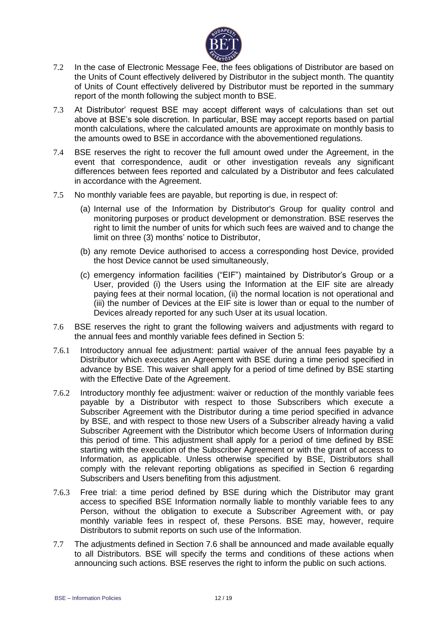

- 7.2 In the case of Electronic Message Fee, the fees obligations of Distributor are based on the Units of Count effectively delivered by Distributor in the subject month. The quantity of Units of Count effectively delivered by Distributor must be reported in the summary report of the month following the subject month to BSE.
- 7.3 At Distributor' request BSE may accept different ways of calculations than set out above at BSE's sole discretion. In particular, BSE may accept reports based on partial month calculations, where the calculated amounts are approximate on monthly basis to the amounts owed to BSE in accordance with the abovementioned regulations.
- 7.4 BSE reserves the right to recover the full amount owed under the Agreement, in the event that correspondence, audit or other investigation reveals any significant differences between fees reported and calculated by a Distributor and fees calculated in accordance with the Agreement.
- 7.5 No monthly variable fees are payable, but reporting is due, in respect of:
	- (a) Internal use of the Information by Distributor's Group for quality control and monitoring purposes or product development or demonstration. BSE reserves the right to limit the number of units for which such fees are waived and to change the limit on three (3) months' notice to Distributor,
	- (b) any remote Device authorised to access a corresponding host Device, provided the host Device cannot be used simultaneously,
	- (c) emergency information facilities ("EIF") maintained by Distributor's Group or a User, provided (i) the Users using the Information at the EIF site are already paying fees at their normal location, (ii) the normal location is not operational and (iii) the number of Devices at the EIF site is lower than or equal to the number of Devices already reported for any such User at its usual location.
- 7.6 BSE reserves the right to grant the following waivers and adjustments with regard to the annual fees and monthly variable fees defined in Section 5:
- 7.6.1 Introductory annual fee adjustment: partial waiver of the annual fees payable by a Distributor which executes an Agreement with BSE during a time period specified in advance by BSE. This waiver shall apply for a period of time defined by BSE starting with the Effective Date of the Agreement.
- 7.6.2 Introductory monthly fee adjustment: waiver or reduction of the monthly variable fees payable by a Distributor with respect to those Subscribers which execute a Subscriber Agreement with the Distributor during a time period specified in advance by BSE, and with respect to those new Users of a Subscriber already having a valid Subscriber Agreement with the Distributor which become Users of Information during this period of time. This adjustment shall apply for a period of time defined by BSE starting with the execution of the Subscriber Agreement or with the grant of access to Information, as applicable. Unless otherwise specified by BSE, Distributors shall comply with the relevant reporting obligations as specified in Section 6 regarding Subscribers and Users benefiting from this adjustment.
- 7.6.3 Free trial: a time period defined by BSE during which the Distributor may grant access to specified BSE Information normally liable to monthly variable fees to any Person, without the obligation to execute a Subscriber Agreement with, or pay monthly variable fees in respect of, these Persons. BSE may, however, require Distributors to submit reports on such use of the Information.
- 7.7 The adjustments defined in Section 7.6 shall be announced and made available equally to all Distributors. BSE will specify the terms and conditions of these actions when announcing such actions. BSE reserves the right to inform the public on such actions.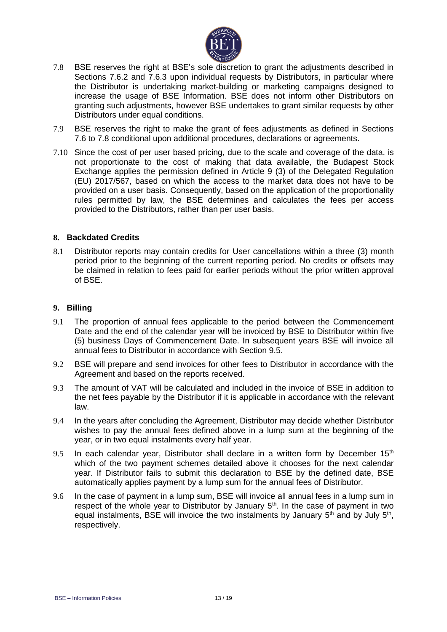

- 7.8 BSE reserves the right at BSE's sole discretion to grant the adjustments described in Sections 7.6.2 and 7.6.3 upon individual requests by Distributors, in particular where the Distributor is undertaking market-building or marketing campaigns designed to increase the usage of BSE Information. BSE does not inform other Distributors on granting such adjustments, however BSE undertakes to grant similar requests by other Distributors under equal conditions.
- 7.9 BSE reserves the right to make the grant of fees adjustments as defined in Sections 7.6 to 7.8 conditional upon additional procedures, declarations or agreements.
- 7.10 Since the cost of per user based pricing, due to the scale and coverage of the data, is not proportionate to the cost of making that data available, the Budapest Stock Exchange applies the permission defined in Article 9 (3) of the Delegated Regulation (EU) 2017/567, based on which the access to the market data does not have to be provided on a user basis. Consequently, based on the application of the proportionality rules permitted by law, the BSE determines and calculates the fees per access provided to the Distributors, rather than per user basis.

# **8. Backdated Credits**

8.1 Distributor reports may contain credits for User cancellations within a three (3) month period prior to the beginning of the current reporting period. No credits or offsets may be claimed in relation to fees paid for earlier periods without the prior written approval of BSE.

# **9. Billing**

- 9.1 The proportion of annual fees applicable to the period between the Commencement Date and the end of the calendar year will be invoiced by BSE to Distributor within five (5) business Days of Commencement Date. In subsequent years BSE will invoice all annual fees to Distributor in accordance with Section 9.5.
- 9.2 BSE will prepare and send invoices for other fees to Distributor in accordance with the Agreement and based on the reports received.
- 9.3 The amount of VAT will be calculated and included in the invoice of BSE in addition to the net fees payable by the Distributor if it is applicable in accordance with the relevant law.
- 9.4 In the years after concluding the Agreement, Distributor may decide whether Distributor wishes to pay the annual fees defined above in a lump sum at the beginning of the year, or in two equal instalments every half year.
- 9.5 In each calendar year, Distributor shall declare in a written form by December  $15<sup>th</sup>$ which of the two payment schemes detailed above it chooses for the next calendar year. If Distributor fails to submit this declaration to BSE by the defined date, BSE automatically applies payment by a lump sum for the annual fees of Distributor.
- 9.6 In the case of payment in a lump sum, BSE will invoice all annual fees in a lump sum in respect of the whole year to Distributor by January  $5<sup>th</sup>$ . In the case of payment in two equal instalments, BSE will invoice the two instalments by January  $5<sup>th</sup>$  and by July  $5<sup>th</sup>$ , respectively.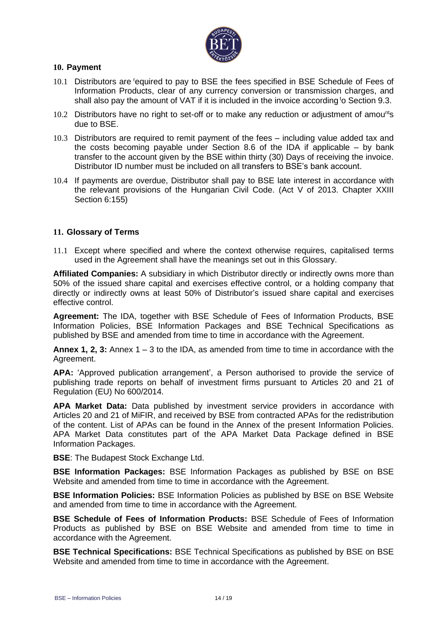

# **10. Payment**

- 10.1 Distributors are required to pay to BSE the fees specified in BSE Schedule of Fees of Information Products, clear of any currency conversion or transmission charges, and shall also pay the amount of VAT if it is included in the invoice according to Section 9.3.
- 10.2 Distributors have no right to set-off or to make any reduction or adjustment of amou<sup>nt</sup>s due to BSE.
- 10.3 Distributors are required to remit payment of the fees including value added tax and the costs becoming payable under Section 8.6 of the IDA if applicable – by bank transfer to the account given by the BSE within thirty (30) Days of receiving the invoice. Distributor ID number must be included on all transfers to BSE's bank account.
- 10.4 If payments are overdue, Distributor shall pay to BSE late interest in accordance with the relevant provisions of the Hungarian Civil Code. (Act V of 2013. Chapter XXIII Section 6:155)

# **11. Glossary of Terms**

11.1 Except where specified and where the context otherwise requires, capitalised terms used in the Agreement shall have the meanings set out in this Glossary.

**Affiliated Companies:** A subsidiary in which Distributor directly or indirectly owns more than 50% of the issued share capital and exercises effective control, or a holding company that directly or indirectly owns at least 50% of Distributor's issued share capital and exercises effective control.

**Agreement:** The IDA, together with BSE Schedule of Fees of Information Products, BSE Information Policies, BSE Information Packages and BSE Technical Specifications as published by BSE and amended from time to time in accordance with the Agreement.

**Annex 1, 2, 3:** Annex 1 – 3 to the IDA, as amended from time to time in accordance with the Agreement.

**APA:** 'Approved publication arrangement', a Person authorised to provide the service of publishing trade reports on behalf of investment firms pursuant to Articles 20 and 21 of Regulation (EU) No 600/2014.

**APA Market Data:** Data published by investment service providers in accordance with Articles 20 and 21 of MiFIR, and received by BSE from contracted APAs for the redistribution of the content. List of APAs can be found in the Annex of the present Information Policies. APA Market Data constitutes part of the APA Market Data Package defined in BSE Information Packages.

**BSE**: The Budapest Stock Exchange Ltd.

**BSE Information Packages:** BSE Information Packages as published by BSE on BSE Website and amended from time to time in accordance with the Agreement.

**BSE Information Policies:** BSE Information Policies as published by BSE on BSE Website and amended from time to time in accordance with the Agreement.

**BSE Schedule of Fees of Information Products:** BSE Schedule of Fees of Information Products as published by BSE on BSE Website and amended from time to time in accordance with the Agreement.

**BSE Technical Specifications:** BSE Technical Specifications as published by BSE on BSE Website and amended from time to time in accordance with the Agreement.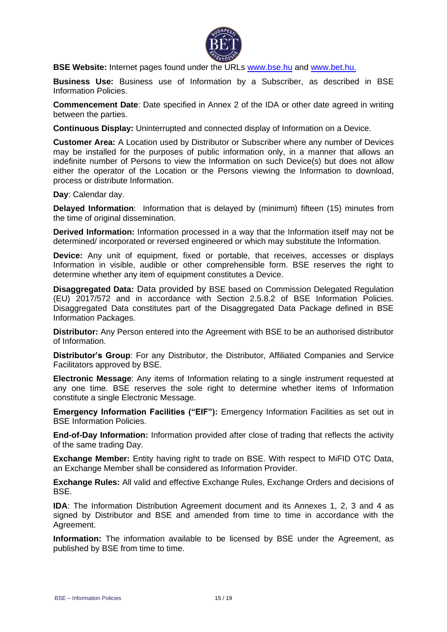

**BSE Website:** Internet pages found under the URLs [www.bse.hu](http://www.bse.hu/) and [www.bet.hu.](http://www.bet.hu/)

**Business Use:** Business use of Information by a Subscriber, as described in BSE Information Policies.

**Commencement Date**: Date specified in Annex 2 of the IDA or other date agreed in writing between the parties.

**Continuous Display:** Uninterrupted and connected display of Information on a Device.

**Customer Area:** A Location used by Distributor or Subscriber where any number of Devices may be installed for the purposes of public information only, in a manner that allows an indefinite number of Persons to view the Information on such Device(s) but does not allow either the operator of the Location or the Persons viewing the Information to download, process or distribute Information.

**Day**: Calendar day.

**Delayed Information**: Information that is delayed by (minimum) fifteen (15) minutes from the time of original dissemination.

**Derived Information:** Information processed in a way that the Information itself may not be determined/ incorporated or reversed engineered or which may substitute the Information.

**Device:** Any unit of equipment, fixed or portable, that receives, accesses or displays Information in visible, audible or other comprehensible form. BSE reserves the right to determine whether any item of equipment constitutes a Device.

**Disaggregated Data:** Data provided by BSE based on Commission Delegated Regulation (EU) 2017/572 and in accordance with Section 2.5.8.2 of BSE Information Policies. Disaggregated Data constitutes part of the Disaggregated Data Package defined in BSE Information Packages.

**Distributor:** Any Person entered into the Agreement with BSE to be an authorised distributor of Information.

**Distributor's Group**: For any Distributor, the Distributor, Affiliated Companies and Service Facilitators approved by BSE.

**Electronic Message**: Any items of Information relating to a single instrument requested at any one time. BSE reserves the sole right to determine whether items of Information constitute a single Electronic Message.

**Emergency Information Facilities ("EIF"):** Emergency Information Facilities as set out in BSE Information Policies.

**End-of-Day Information:** Information provided after close of trading that reflects the activity of the same trading Day.

**Exchange Member:** Entity having right to trade on BSE. With respect to MiFID OTC Data, an Exchange Member shall be considered as Information Provider.

**Exchange Rules:** All valid and effective Exchange Rules, Exchange Orders and decisions of BSE.

**IDA**: The Information Distribution Agreement document and its Annexes 1, 2, 3 and 4 as signed by Distributor and BSE and amended from time to time in accordance with the Agreement.

**Information:** The information available to be licensed by BSE under the Agreement, as published by BSE from time to time.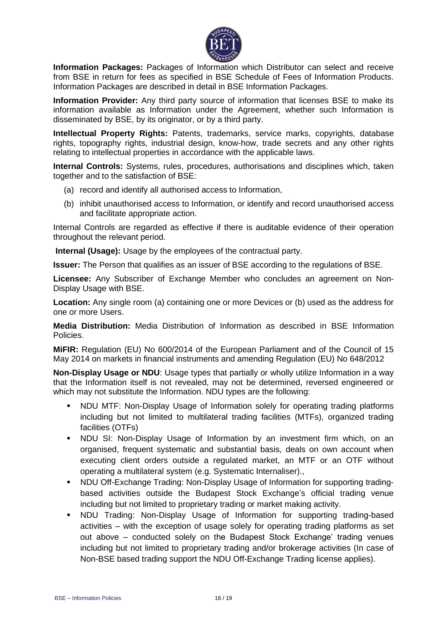

**Information Packages:** Packages of Information which Distributor can select and receive from BSE in return for fees as specified in BSE Schedule of Fees of Information Products. Information Packages are described in detail in BSE Information Packages.

**Information Provider:** Any third party source of information that licenses BSE to make its information available as Information under the Agreement, whether such Information is disseminated by BSE, by its originator, or by a third party.

**Intellectual Property Rights:** Patents, trademarks, service marks, copyrights, database rights, topography rights, industrial design, know-how, trade secrets and any other rights relating to intellectual properties in accordance with the applicable laws.

**Internal Controls:** Systems, rules, procedures, authorisations and disciplines which, taken together and to the satisfaction of BSE:

- (a) record and identify all authorised access to Information,
- (b) inhibit unauthorised access to Information, or identify and record unauthorised access and facilitate appropriate action.

Internal Controls are regarded as effective if there is auditable evidence of their operation throughout the relevant period.

**Internal (Usage):** Usage by the employees of the contractual party.

**Issuer:** The Person that qualifies as an issuer of BSE according to the regulations of BSE.

**Licensee:** Any Subscriber of Exchange Member who concludes an agreement on Non-Display Usage with BSE.

**Location:** Any single room (a) containing one or more Devices or (b) used as the address for one or more Users.

**Media Distribution:** Media Distribution of Information as described in BSE Information Policies.

**MiFIR:** Regulation (EU) No 600/2014 of the European Parliament and of the Council of 15 May 2014 on markets in financial instruments and amending Regulation (EU) No 648/2012

**Non-Display Usage or NDU:** Usage types that partially or wholly utilize Information in a way that the Information itself is not revealed, may not be determined, reversed engineered or which may not substitute the Information. NDU types are the following:

- NDU MTF: Non-Display Usage of Information solely for operating trading platforms including but not limited to multilateral trading facilities (MTFs), organized trading facilities (OTFs)
- NDU SI: Non-Display Usage of Information by an investment firm which, on an organised, frequent systematic and substantial basis, deals on own account when executing client orders outside a regulated market, an MTF or an OTF without operating a multilateral system (e.g. Systematic Internaliser).,
- NDU Off-Exchange Trading: Non-Display Usage of Information for supporting tradingbased activities outside the Budapest Stock Exchange's official trading venue including but not limited to proprietary trading or market making activity.
- NDU Trading: Non-Display Usage of Information for supporting trading-based activities – with the exception of usage solely for operating trading platforms as set out above – conducted solely on the Budapest Stock Exchange' trading venues including but not limited to proprietary trading and/or brokerage activities (In case of Non-BSE based trading support the NDU Off-Exchange Trading license applies).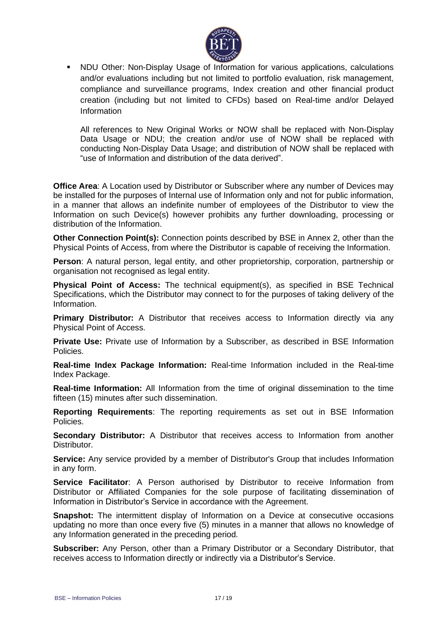

▪ NDU Other: Non-Display Usage of Information for various applications, calculations and/or evaluations including but not limited to portfolio evaluation, risk management, compliance and surveillance programs, Index creation and other financial product creation (including but not limited to CFDs) based on Real-time and/or Delayed Information

All references to New Original Works or NOW shall be replaced with Non-Display Data Usage or NDU; the creation and/or use of NOW shall be replaced with conducting Non-Display Data Usage; and distribution of NOW shall be replaced with "use of Information and distribution of the data derived".

**Office Area**: A Location used by Distributor or Subscriber where any number of Devices may be installed for the purposes of Internal use of Information only and not for public information, in a manner that allows an indefinite number of employees of the Distributor to view the Information on such Device(s) however prohibits any further downloading, processing or distribution of the Information.

**Other Connection Point(s):** Connection points described by BSE in Annex 2, other than the Physical Points of Access, from where the Distributor is capable of receiving the Information.

**Person**: A natural person, legal entity, and other proprietorship, corporation, partnership or organisation not recognised as legal entity.

**Physical Point of Access:** The technical equipment(s), as specified in BSE Technical Specifications, which the Distributor may connect to for the purposes of taking delivery of the Information.

**Primary Distributor:** A Distributor that receives access to Information directly via any Physical Point of Access.

**Private Use:** Private use of Information by a Subscriber, as described in BSE Information Policies.

**Real-time Index Package Information:** Real-time Information included in the Real-time Index Package.

**Real-time Information:** All Information from the time of original dissemination to the time fifteen (15) minutes after such dissemination.

**Reporting Requirements**: The reporting requirements as set out in BSE Information Policies.

**Secondary Distributor:** A Distributor that receives access to Information from another Distributor.

**Service:** Any service provided by a member of Distributor's Group that includes Information in any form.

**Service Facilitator**: A Person authorised by Distributor to receive Information from Distributor or Affiliated Companies for the sole purpose of facilitating dissemination of Information in Distributor's Service in accordance with the Agreement.

**Snapshot:** The intermittent display of Information on a Device at consecutive occasions updating no more than once every five (5) minutes in a manner that allows no knowledge of any Information generated in the preceding period.

**Subscriber:** Any Person, other than a Primary Distributor or a Secondary Distributor, that receives access to Information directly or indirectly via a Distributor's Service.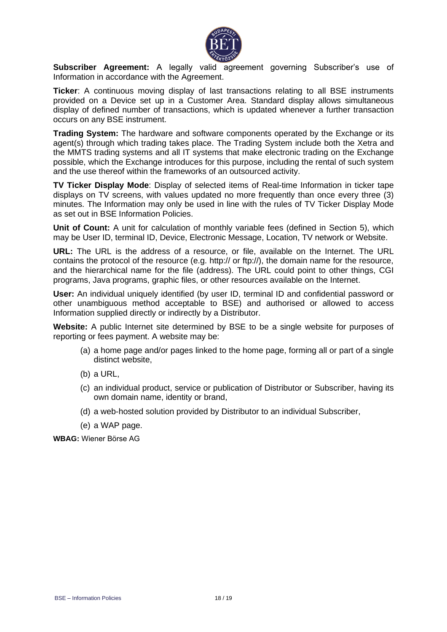

**Subscriber Agreement:** A legally valid agreement governing Subscriber's use of Information in accordance with the Agreement.

**Ticker**: A continuous moving display of last transactions relating to all BSE instruments provided on a Device set up in a Customer Area. Standard display allows simultaneous display of defined number of transactions, which is updated whenever a further transaction occurs on any BSE instrument.

**Trading System:** The hardware and software components operated by the Exchange or its agent(s) through which trading takes place. The Trading System include both the Xetra and the MMTS trading systems and all IT systems that make electronic trading on the Exchange possible, which the Exchange introduces for this purpose, including the rental of such system and the use thereof within the frameworks of an outsourced activity.

**TV Ticker Display Mode**: Display of selected items of Real-time Information in ticker tape displays on TV screens, with values updated no more frequently than once every three (3) minutes. The Information may only be used in line with the rules of TV Ticker Display Mode as set out in BSE Information Policies.

**Unit of Count:** A unit for calculation of monthly variable fees (defined in Section 5), which may be User ID, terminal ID, Device, Electronic Message, Location, TV network or Website.

**URL:** The URL is the address of a resource, or [file,](http://www.learnthat.com/define/f/file.shtml) available on the Internet. The URL contains the protocol of the resource (e.g. http:// or ftp://), the domain name for the resource, and the hierarchical name for the [file](http://www.learnthat.com/define/f/file.shtml) (address). The URL could point to other things, [CGI](http://www.learnthat.com/define/c/cgi.shtml) programs, [Java](http://www.learnthat.com/define/j/java.shtml) programs, graphic [files,](http://www.learnthat.com/define/f/file.shtml) or other resources available on the Internet.

**User:** An individual uniquely identified (by user ID, terminal ID and confidential password or other unambiguous method acceptable to BSE) and authorised or allowed to access Information supplied directly or indirectly by a Distributor.

**Website:** A public Internet site determined by BSE to be a single website for purposes of reporting or fees payment. A website may be:

- (a) a home page and/or pages linked to the home page, forming all or part of a single distinct website,
- (b) a URL,
- (c) an individual product, service or publication of Distributor or Subscriber, having its own domain name, identity or brand,
- (d) a web-hosted solution provided by Distributor to an individual Subscriber,
- (e) a WAP page.

**WBAG:** Wiener Börse AG